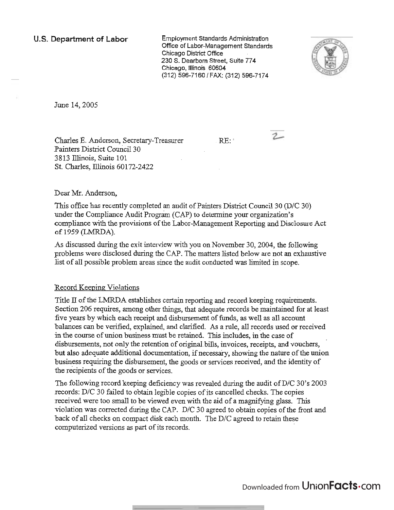**U.S. Department of Labor** Employment Standards Administration Office of Labor-Management Standards Chicago District Office 230 S. Dearborn Street, Suite 774 Chicago, Illinois 60604 (312) 596-7160 / FAX: (312) 596-7174



June 14,2005

Charles E. Anderson, Secretary-Treasurer RE: Painters District Council 30 3813 Illinois, Suite 101 St. Charles, Illinois 60172-2422

 $2-$ 

Deas **Mr.** Anderson,

This office has recently completed an audit of Painters District Council 30 (D/C 30) under the Compliance Audit Program (CAP) to determine your organization's compliance with the provisions of the Labor-Management Reporting and Disclosure Act of 1959 (LMRDA).

As discussed during the exit interview with you on November 30,2004, the following problems were disclosed during the CAP. The matters listed below are not an exhaustive list of all possible problem areas since the audit conducted was limited in scope.

## Record Keeping Violations

Title II of the LMRDA establishes certain reporting and record keeping requirements. Section 206 requires, among other things, that adequate records be maintained for at least five years by which each receipt and disbursement of funds, as well as all account balances can be verified, explained, and clarified. As a rule, all recprds used or received in the course of union business must be retained. This includes, in the case of disbursements, not only the retention of original bills, invoices, receipts, **and** vouchers, but also adequate additional documentation, if necessaiy, showing the nature of the union business requiring the disbursement, the goods or services received, and the identity of the recipients of the goods or services.

The following record keeping deficiency was revealed during the audit of D/C 30's 2003 records: D/C 30 failed to obtain legible copies of its cancelled checks. The copies received were too small to be viewed even with the aid of a magnifymg glass. This violation was corrected during the CAP. D/C 30 agreed to obtain copies of the front and back of all checks on compact disk each month. The D/C agreed to retain these computerized versions as part of its records.